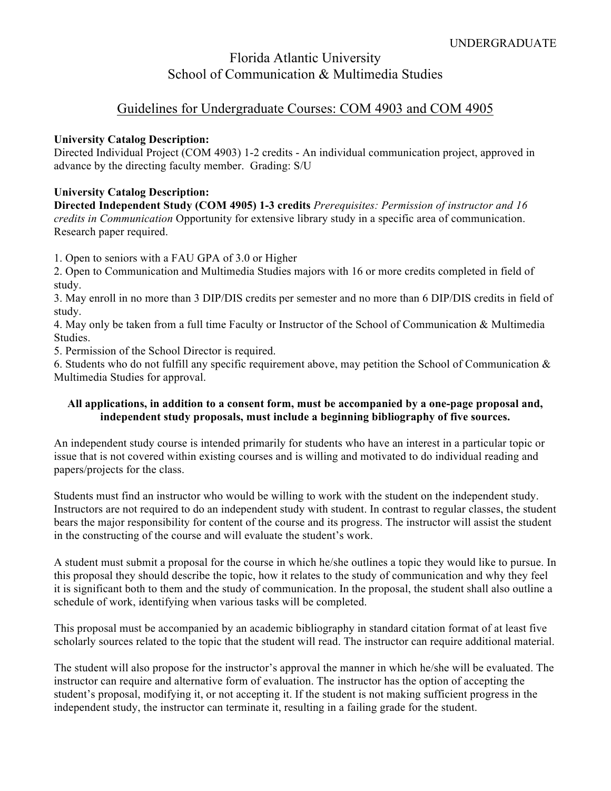## Florida Atlantic University School of Communication & Multimedia Studies

### Guidelines for Undergraduate Courses: COM 4903 and COM 4905

#### **University Catalog Description:**

Directed Individual Project (COM 4903) 1-2 credits - An individual communication project, approved in advance by the directing faculty member. Grading: S/U

#### **University Catalog Description:**

**Directed Independent Study (COM 4905) 1-3 credits** *Prerequisites: Permission of instructor and 16 credits in Communication* Opportunity for extensive library study in a specific area of communication. Research paper required.

1. Open to seniors with a FAU GPA of 3.0 or Higher

2. Open to Communication and Multimedia Studies majors with 16 or more credits completed in field of study.

3. May enroll in no more than 3 DIP/DIS credits per semester and no more than 6 DIP/DIS credits in field of study.

4. May only be taken from a full time Faculty or Instructor of the School of Communication & Multimedia Studies.

5. Permission of the School Director is required.

6. Students who do not fulfill any specific requirement above, may petition the School of Communication & Multimedia Studies for approval.

#### **All applications, in addition to a consent form, must be accompanied by a one-page proposal and, independent study proposals, must include a beginning bibliography of five sources.**

An independent study course is intended primarily for students who have an interest in a particular topic or issue that is not covered within existing courses and is willing and motivated to do individual reading and papers/projects for the class.

Students must find an instructor who would be willing to work with the student on the independent study. Instructors are not required to do an independent study with student. In contrast to regular classes, the student bears the major responsibility for content of the course and its progress. The instructor will assist the student in the constructing of the course and will evaluate the student's work.

A student must submit a proposal for the course in which he/she outlines a topic they would like to pursue. In this proposal they should describe the topic, how it relates to the study of communication and why they feel it is significant both to them and the study of communication. In the proposal, the student shall also outline a schedule of work, identifying when various tasks will be completed.

This proposal must be accompanied by an academic bibliography in standard citation format of at least five scholarly sources related to the topic that the student will read. The instructor can require additional material.

The student will also propose for the instructor's approval the manner in which he/she will be evaluated. The instructor can require and alternative form of evaluation. The instructor has the option of accepting the student's proposal, modifying it, or not accepting it. If the student is not making sufficient progress in the independent study, the instructor can terminate it, resulting in a failing grade for the student.